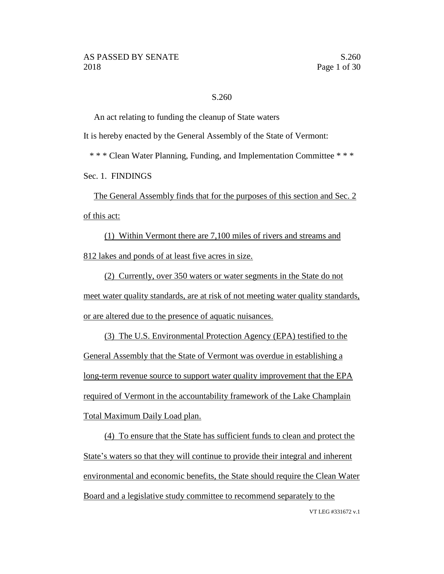#### S.260

An act relating to funding the cleanup of State waters

It is hereby enacted by the General Assembly of the State of Vermont:

\* \* \* Clean Water Planning, Funding, and Implementation Committee \* \* \*

Sec. 1. FINDINGS

The General Assembly finds that for the purposes of this section and Sec. 2 of this act:

(1) Within Vermont there are 7,100 miles of rivers and streams and 812 lakes and ponds of at least five acres in size.

(2) Currently, over 350 waters or water segments in the State do not meet water quality standards, are at risk of not meeting water quality standards, or are altered due to the presence of aquatic nuisances.

(3) The U.S. Environmental Protection Agency (EPA) testified to the General Assembly that the State of Vermont was overdue in establishing a long-term revenue source to support water quality improvement that the EPA required of Vermont in the accountability framework of the Lake Champlain Total Maximum Daily Load plan.

(4) To ensure that the State has sufficient funds to clean and protect the State's waters so that they will continue to provide their integral and inherent environmental and economic benefits, the State should require the Clean Water Board and a legislative study committee to recommend separately to the

VT LEG #331672 v.1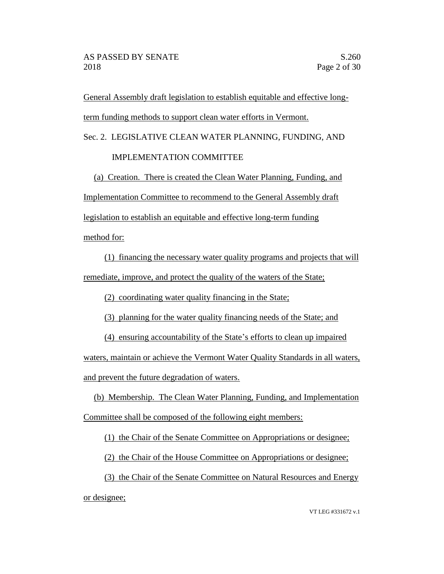General Assembly draft legislation to establish equitable and effective longterm funding methods to support clean water efforts in Vermont.

Sec. 2. LEGISLATIVE CLEAN WATER PLANNING, FUNDING, AND

# IMPLEMENTATION COMMITTEE

(a) Creation. There is created the Clean Water Planning, Funding, and Implementation Committee to recommend to the General Assembly draft legislation to establish an equitable and effective long-term funding

method for:

(1) financing the necessary water quality programs and projects that will remediate, improve, and protect the quality of the waters of the State;

(2) coordinating water quality financing in the State;

(3) planning for the water quality financing needs of the State; and

(4) ensuring accountability of the State's efforts to clean up impaired

waters, maintain or achieve the Vermont Water Quality Standards in all waters, and prevent the future degradation of waters.

(b) Membership. The Clean Water Planning, Funding, and Implementation Committee shall be composed of the following eight members:

(1) the Chair of the Senate Committee on Appropriations or designee;

(2) the Chair of the House Committee on Appropriations or designee;

(3) the Chair of the Senate Committee on Natural Resources and Energy or designee;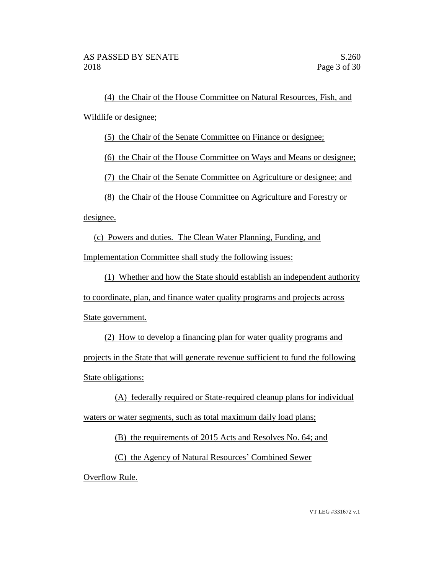(4) the Chair of the House Committee on Natural Resources, Fish, and Wildlife or designee;

(5) the Chair of the Senate Committee on Finance or designee;

(6) the Chair of the House Committee on Ways and Means or designee;

(7) the Chair of the Senate Committee on Agriculture or designee; and

(8) the Chair of the House Committee on Agriculture and Forestry or

designee.

(c) Powers and duties. The Clean Water Planning, Funding, and

Implementation Committee shall study the following issues:

(1) Whether and how the State should establish an independent authority

to coordinate, plan, and finance water quality programs and projects across

State government.

(2) How to develop a financing plan for water quality programs and projects in the State that will generate revenue sufficient to fund the following State obligations:

(A) federally required or State-required cleanup plans for individual waters or water segments, such as total maximum daily load plans;

(B) the requirements of 2015 Acts and Resolves No. 64; and

(C) the Agency of Natural Resources' Combined Sewer Overflow Rule.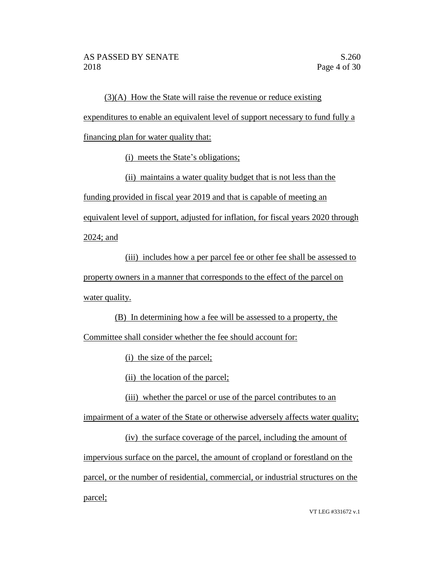(3)(A) How the State will raise the revenue or reduce existing expenditures to enable an equivalent level of support necessary to fund fully a financing plan for water quality that:

(i) meets the State's obligations;

(ii) maintains a water quality budget that is not less than the funding provided in fiscal year 2019 and that is capable of meeting an

equivalent level of support, adjusted for inflation, for fiscal years 2020 through

2024; and

(iii) includes how a per parcel fee or other fee shall be assessed to property owners in a manner that corresponds to the effect of the parcel on water quality.

(B) In determining how a fee will be assessed to a property, the

Committee shall consider whether the fee should account for:

(i) the size of the parcel;

(ii) the location of the parcel;

(iii) whether the parcel or use of the parcel contributes to an

impairment of a water of the State or otherwise adversely affects water quality;

(iv) the surface coverage of the parcel, including the amount of impervious surface on the parcel, the amount of cropland or forestland on the parcel, or the number of residential, commercial, or industrial structures on the parcel;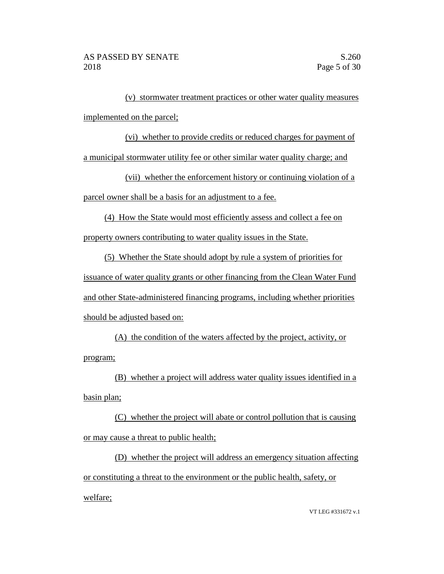(v) stormwater treatment practices or other water quality measures implemented on the parcel;

(vi) whether to provide credits or reduced charges for payment of a municipal stormwater utility fee or other similar water quality charge; and

(vii) whether the enforcement history or continuing violation of a parcel owner shall be a basis for an adjustment to a fee.

(4) How the State would most efficiently assess and collect a fee on property owners contributing to water quality issues in the State.

(5) Whether the State should adopt by rule a system of priorities for issuance of water quality grants or other financing from the Clean Water Fund and other State-administered financing programs, including whether priorities should be adjusted based on:

(A) the condition of the waters affected by the project, activity, or program;

(B) whether a project will address water quality issues identified in a basin plan;

(C) whether the project will abate or control pollution that is causing or may cause a threat to public health;

(D) whether the project will address an emergency situation affecting or constituting a threat to the environment or the public health, safety, or welfare;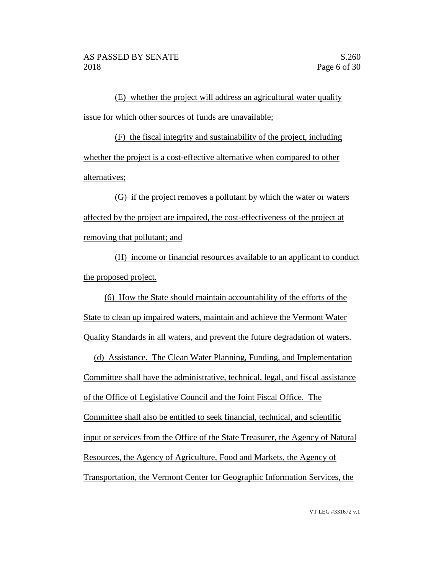(E) whether the project will address an agricultural water quality issue for which other sources of funds are unavailable;

(F) the fiscal integrity and sustainability of the project, including whether the project is a cost-effective alternative when compared to other alternatives;

(G) if the project removes a pollutant by which the water or waters affected by the project are impaired, the cost-effectiveness of the project at removing that pollutant; and

(H) income or financial resources available to an applicant to conduct the proposed project.

(6) How the State should maintain accountability of the efforts of the State to clean up impaired waters, maintain and achieve the Vermont Water Quality Standards in all waters, and prevent the future degradation of waters.

(d) Assistance. The Clean Water Planning, Funding, and Implementation Committee shall have the administrative, technical, legal, and fiscal assistance of the Office of Legislative Council and the Joint Fiscal Office. The Committee shall also be entitled to seek financial, technical, and scientific input or services from the Office of the State Treasurer, the Agency of Natural Resources, the Agency of Agriculture, Food and Markets, the Agency of Transportation, the Vermont Center for Geographic Information Services, the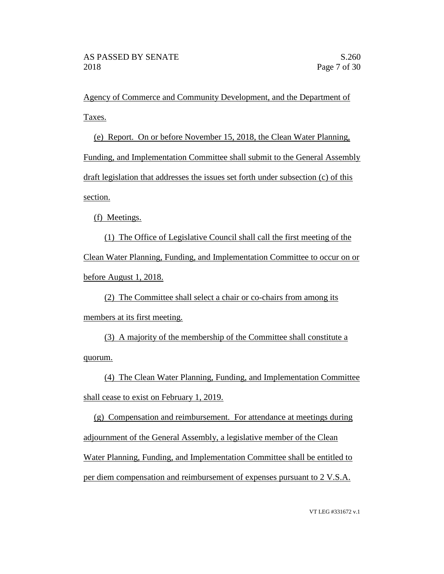Agency of Commerce and Community Development, and the Department of Taxes.

(e) Report. On or before November 15, 2018, the Clean Water Planning, Funding, and Implementation Committee shall submit to the General Assembly draft legislation that addresses the issues set forth under subsection (c) of this section.

(f) Meetings.

(1) The Office of Legislative Council shall call the first meeting of the Clean Water Planning, Funding, and Implementation Committee to occur on or before August 1, 2018.

(2) The Committee shall select a chair or co-chairs from among its members at its first meeting.

(3) A majority of the membership of the Committee shall constitute a quorum.

(4) The Clean Water Planning, Funding, and Implementation Committee shall cease to exist on February 1, 2019.

(g) Compensation and reimbursement. For attendance at meetings during adjournment of the General Assembly, a legislative member of the Clean Water Planning, Funding, and Implementation Committee shall be entitled to per diem compensation and reimbursement of expenses pursuant to 2 V.S.A.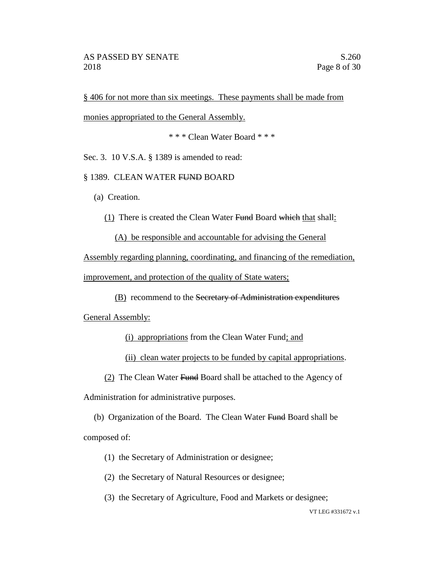§ 406 for not more than six meetings. These payments shall be made from

monies appropriated to the General Assembly.

\* \* \* Clean Water Board \* \* \*

Sec. 3. 10 V.S.A. § 1389 is amended to read:

§ 1389. CLEAN WATER FUND BOARD

(a) Creation.

(1) There is created the Clean Water Fund Board which that shall:

(A) be responsible and accountable for advising the General

Assembly regarding planning, coordinating, and financing of the remediation, improvement, and protection of the quality of State waters;

(B) recommend to the Secretary of Administration expenditures

General Assembly:

(i) appropriations from the Clean Water Fund; and

(ii) clean water projects to be funded by capital appropriations.

(2) The Clean Water Fund Board shall be attached to the Agency of

Administration for administrative purposes.

(b) Organization of the Board. The Clean Water Fund Board shall be composed of:

- (1) the Secretary of Administration or designee;
- (2) the Secretary of Natural Resources or designee;

(3) the Secretary of Agriculture, Food and Markets or designee;

VT LEG #331672 v.1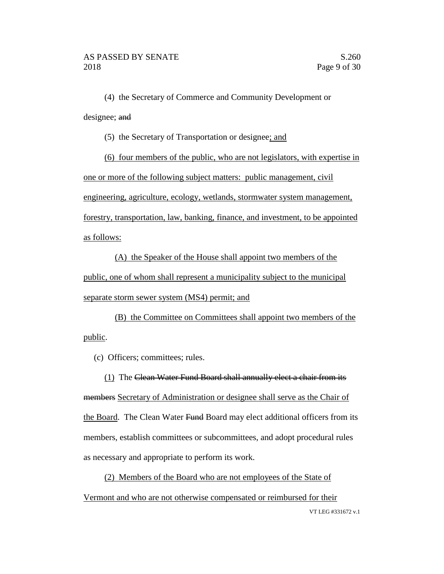(4) the Secretary of Commerce and Community Development or designee; and

(5) the Secretary of Transportation or designee; and

(6) four members of the public, who are not legislators, with expertise in one or more of the following subject matters: public management, civil engineering, agriculture, ecology, wetlands, stormwater system management, forestry, transportation, law, banking, finance, and investment, to be appointed as follows:

(A) the Speaker of the House shall appoint two members of the public, one of whom shall represent a municipality subject to the municipal separate storm sewer system (MS4) permit; and

(B) the Committee on Committees shall appoint two members of the public.

(c) Officers; committees; rules.

(1) The Clean Water Fund Board shall annually elect a chair from its members Secretary of Administration or designee shall serve as the Chair of the Board. The Clean Water Fund Board may elect additional officers from its members, establish committees or subcommittees, and adopt procedural rules as necessary and appropriate to perform its work.

VT LEG #331672 v.1 (2) Members of the Board who are not employees of the State of Vermont and who are not otherwise compensated or reimbursed for their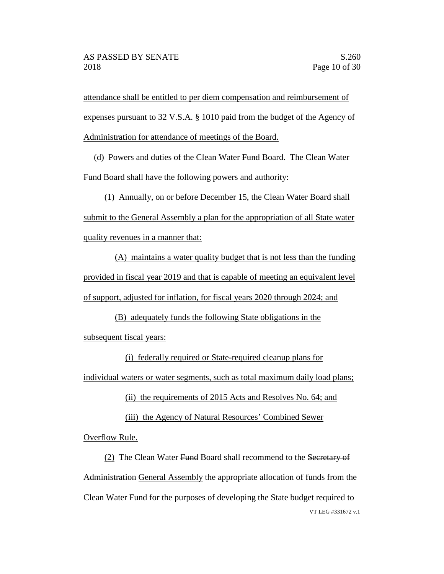attendance shall be entitled to per diem compensation and reimbursement of expenses pursuant to 32 V.S.A. § 1010 paid from the budget of the Agency of Administration for attendance of meetings of the Board.

(d) Powers and duties of the Clean Water Fund Board. The Clean Water Fund Board shall have the following powers and authority:

(1) Annually, on or before December 15, the Clean Water Board shall submit to the General Assembly a plan for the appropriation of all State water quality revenues in a manner that:

(A) maintains a water quality budget that is not less than the funding provided in fiscal year 2019 and that is capable of meeting an equivalent level of support, adjusted for inflation, for fiscal years 2020 through 2024; and

(B) adequately funds the following State obligations in the subsequent fiscal years:

(i) federally required or State-required cleanup plans for individual waters or water segments, such as total maximum daily load plans;

(ii) the requirements of 2015 Acts and Resolves No. 64; and

(iii) the Agency of Natural Resources' Combined Sewer

Overflow Rule.

VT LEG #331672 v.1 (2) The Clean Water Fund Board shall recommend to the Secretary of Administration General Assembly the appropriate allocation of funds from the Clean Water Fund for the purposes of developing the State budget required to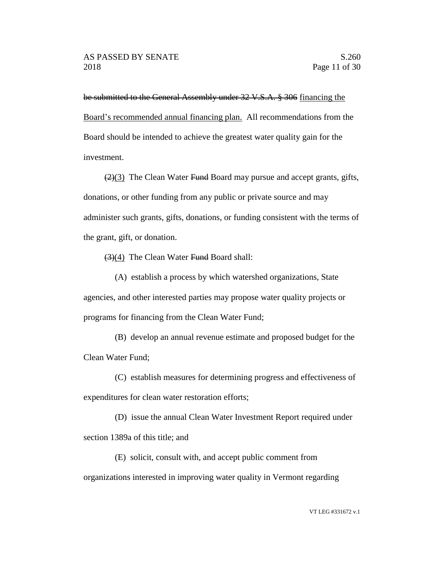be submitted to the General Assembly under 32 V.S.A. § 306 financing the Board's recommended annual financing plan. All recommendations from the Board should be intended to achieve the greatest water quality gain for the investment.

 $(2)(3)$  The Clean Water Fund Board may pursue and accept grants, gifts, donations, or other funding from any public or private source and may administer such grants, gifts, donations, or funding consistent with the terms of the grant, gift, or donation.

(3)(4) The Clean Water Fund Board shall:

(A) establish a process by which watershed organizations, State agencies, and other interested parties may propose water quality projects or programs for financing from the Clean Water Fund;

(B) develop an annual revenue estimate and proposed budget for the Clean Water Fund;

(C) establish measures for determining progress and effectiveness of expenditures for clean water restoration efforts;

(D) issue the annual Clean Water Investment Report required under section 1389a of this title; and

(E) solicit, consult with, and accept public comment from organizations interested in improving water quality in Vermont regarding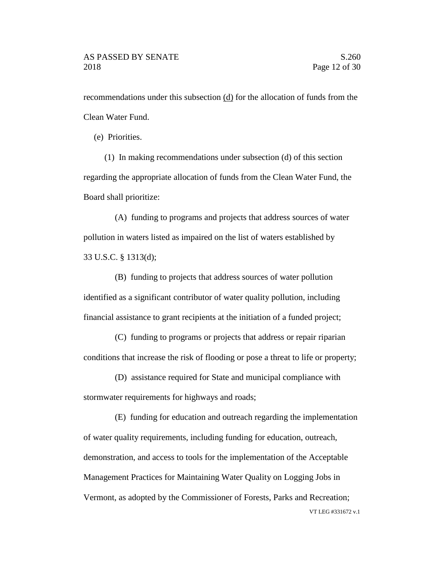recommendations under this subsection (d) for the allocation of funds from the Clean Water Fund.

(e) Priorities.

(1) In making recommendations under subsection (d) of this section regarding the appropriate allocation of funds from the Clean Water Fund, the Board shall prioritize:

(A) funding to programs and projects that address sources of water pollution in waters listed as impaired on the list of waters established by 33 U.S.C. § 1313(d);

(B) funding to projects that address sources of water pollution identified as a significant contributor of water quality pollution, including financial assistance to grant recipients at the initiation of a funded project;

(C) funding to programs or projects that address or repair riparian conditions that increase the risk of flooding or pose a threat to life or property;

(D) assistance required for State and municipal compliance with stormwater requirements for highways and roads;

VT LEG #331672 v.1 (E) funding for education and outreach regarding the implementation of water quality requirements, including funding for education, outreach, demonstration, and access to tools for the implementation of the Acceptable Management Practices for Maintaining Water Quality on Logging Jobs in Vermont, as adopted by the Commissioner of Forests, Parks and Recreation;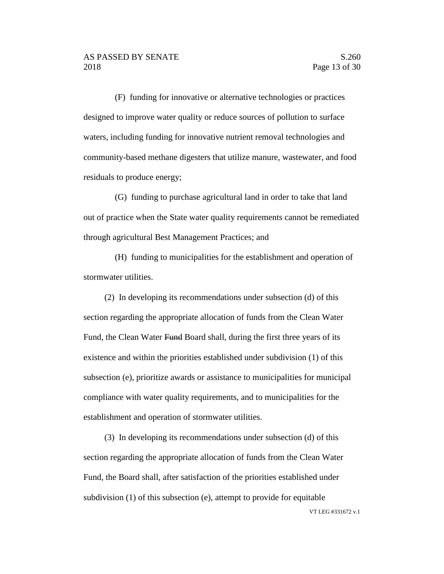(F) funding for innovative or alternative technologies or practices designed to improve water quality or reduce sources of pollution to surface waters, including funding for innovative nutrient removal technologies and community-based methane digesters that utilize manure, wastewater, and food residuals to produce energy;

(G) funding to purchase agricultural land in order to take that land out of practice when the State water quality requirements cannot be remediated through agricultural Best Management Practices; and

(H) funding to municipalities for the establishment and operation of stormwater utilities.

(2) In developing its recommendations under subsection (d) of this section regarding the appropriate allocation of funds from the Clean Water Fund, the Clean Water Fund Board shall, during the first three years of its existence and within the priorities established under subdivision (1) of this subsection (e), prioritize awards or assistance to municipalities for municipal compliance with water quality requirements, and to municipalities for the establishment and operation of stormwater utilities.

(3) In developing its recommendations under subsection (d) of this section regarding the appropriate allocation of funds from the Clean Water Fund, the Board shall, after satisfaction of the priorities established under subdivision (1) of this subsection (e), attempt to provide for equitable

VT LEG #331672 v.1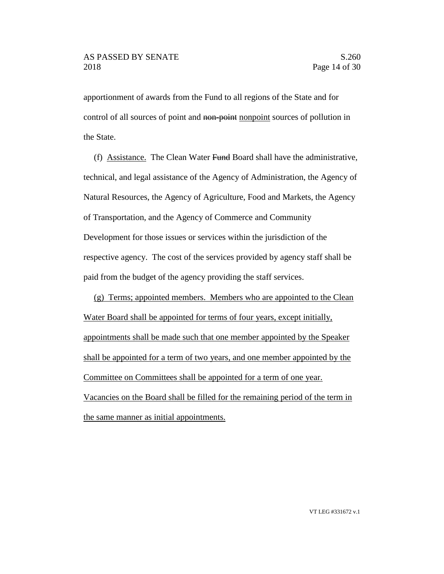apportionment of awards from the Fund to all regions of the State and for control of all sources of point and non-point nonpoint sources of pollution in the State.

(f) Assistance. The Clean Water Fund Board shall have the administrative, technical, and legal assistance of the Agency of Administration, the Agency of Natural Resources, the Agency of Agriculture, Food and Markets, the Agency of Transportation, and the Agency of Commerce and Community Development for those issues or services within the jurisdiction of the respective agency. The cost of the services provided by agency staff shall be paid from the budget of the agency providing the staff services.

(g) Terms; appointed members. Members who are appointed to the Clean Water Board shall be appointed for terms of four years, except initially, appointments shall be made such that one member appointed by the Speaker shall be appointed for a term of two years, and one member appointed by the Committee on Committees shall be appointed for a term of one year. Vacancies on the Board shall be filled for the remaining period of the term in the same manner as initial appointments.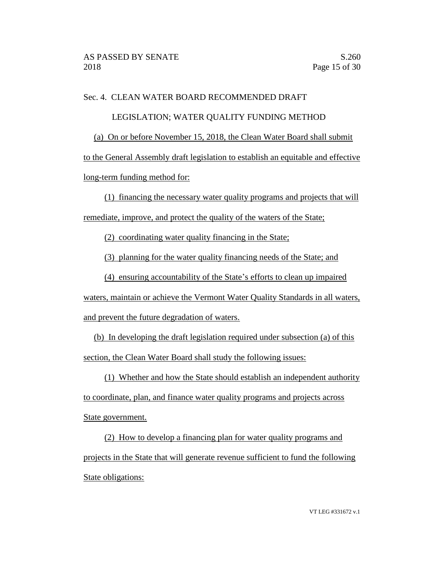## Sec. 4. CLEAN WATER BOARD RECOMMENDED DRAFT

#### LEGISLATION; WATER QUALITY FUNDING METHOD

(a) On or before November 15, 2018, the Clean Water Board shall submit

to the General Assembly draft legislation to establish an equitable and effective long-term funding method for:

(1) financing the necessary water quality programs and projects that will remediate, improve, and protect the quality of the waters of the State;

(2) coordinating water quality financing in the State;

(3) planning for the water quality financing needs of the State; and

(4) ensuring accountability of the State's efforts to clean up impaired

waters, maintain or achieve the Vermont Water Quality Standards in all waters, and prevent the future degradation of waters.

(b) In developing the draft legislation required under subsection (a) of this section, the Clean Water Board shall study the following issues:

(1) Whether and how the State should establish an independent authority

to coordinate, plan, and finance water quality programs and projects across State government.

(2) How to develop a financing plan for water quality programs and projects in the State that will generate revenue sufficient to fund the following State obligations: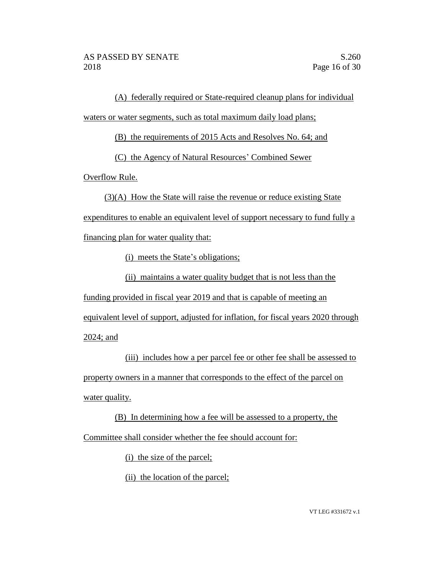(A) federally required or State-required cleanup plans for individual waters or water segments, such as total maximum daily load plans;

(B) the requirements of 2015 Acts and Resolves No. 64; and

(C) the Agency of Natural Resources' Combined Sewer

Overflow Rule.

(3)(A) How the State will raise the revenue or reduce existing State

expenditures to enable an equivalent level of support necessary to fund fully a

financing plan for water quality that:

(i) meets the State's obligations;

(ii) maintains a water quality budget that is not less than the

funding provided in fiscal year 2019 and that is capable of meeting an

equivalent level of support, adjusted for inflation, for fiscal years 2020 through

2024; and

(iii) includes how a per parcel fee or other fee shall be assessed to property owners in a manner that corresponds to the effect of the parcel on water quality.

(B) In determining how a fee will be assessed to a property, the Committee shall consider whether the fee should account for:

(i) the size of the parcel;

(ii) the location of the parcel;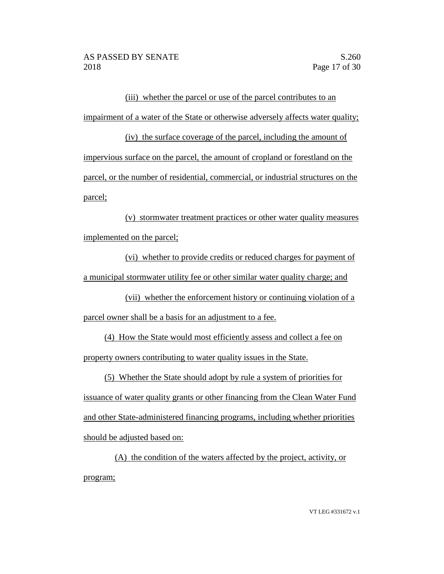(iii) whether the parcel or use of the parcel contributes to an impairment of a water of the State or otherwise adversely affects water quality;

(iv) the surface coverage of the parcel, including the amount of impervious surface on the parcel, the amount of cropland or forestland on the parcel, or the number of residential, commercial, or industrial structures on the parcel;

(v) stormwater treatment practices or other water quality measures implemented on the parcel;

(vi) whether to provide credits or reduced charges for payment of a municipal stormwater utility fee or other similar water quality charge; and

(vii) whether the enforcement history or continuing violation of a parcel owner shall be a basis for an adjustment to a fee.

(4) How the State would most efficiently assess and collect a fee on property owners contributing to water quality issues in the State.

(5) Whether the State should adopt by rule a system of priorities for issuance of water quality grants or other financing from the Clean Water Fund and other State-administered financing programs, including whether priorities should be adjusted based on:

(A) the condition of the waters affected by the project, activity, or program;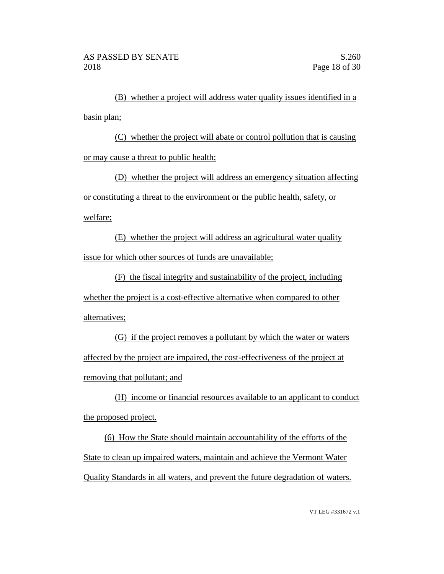(B) whether a project will address water quality issues identified in a basin plan;

(C) whether the project will abate or control pollution that is causing or may cause a threat to public health;

(D) whether the project will address an emergency situation affecting or constituting a threat to the environment or the public health, safety, or welfare;

(E) whether the project will address an agricultural water quality issue for which other sources of funds are unavailable;

(F) the fiscal integrity and sustainability of the project, including whether the project is a cost-effective alternative when compared to other alternatives;

(G) if the project removes a pollutant by which the water or waters affected by the project are impaired, the cost-effectiveness of the project at removing that pollutant; and

(H) income or financial resources available to an applicant to conduct the proposed project.

(6) How the State should maintain accountability of the efforts of the State to clean up impaired waters, maintain and achieve the Vermont Water Quality Standards in all waters, and prevent the future degradation of waters.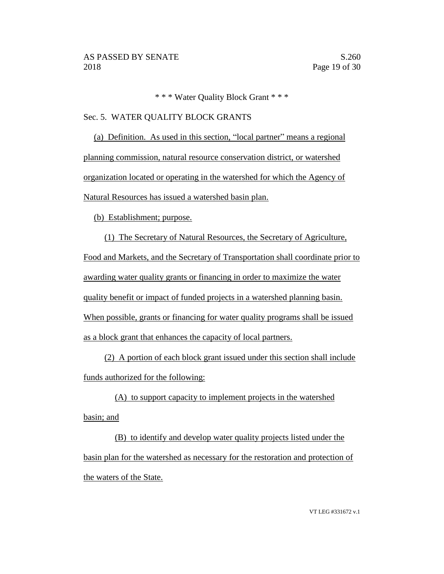\* \* \* Water Quality Block Grant \* \* \*

## Sec. 5. WATER QUALITY BLOCK GRANTS

(a) Definition. As used in this section, "local partner" means a regional planning commission, natural resource conservation district, or watershed organization located or operating in the watershed for which the Agency of Natural Resources has issued a watershed basin plan.

(b) Establishment; purpose.

(1) The Secretary of Natural Resources, the Secretary of Agriculture, Food and Markets, and the Secretary of Transportation shall coordinate prior to awarding water quality grants or financing in order to maximize the water quality benefit or impact of funded projects in a watershed planning basin. When possible, grants or financing for water quality programs shall be issued as a block grant that enhances the capacity of local partners.

(2) A portion of each block grant issued under this section shall include funds authorized for the following:

(A) to support capacity to implement projects in the watershed basin; and

(B) to identify and develop water quality projects listed under the basin plan for the watershed as necessary for the restoration and protection of the waters of the State.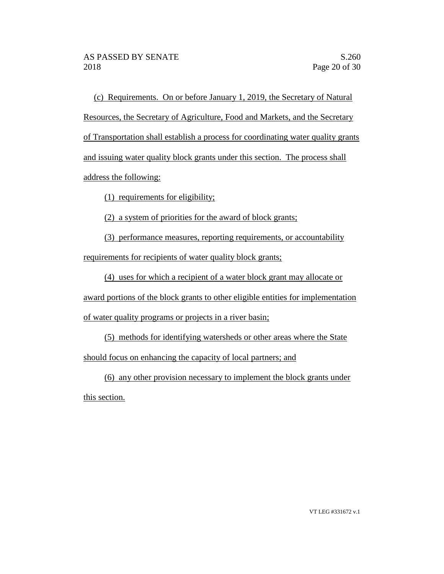(c) Requirements. On or before January 1, 2019, the Secretary of Natural Resources, the Secretary of Agriculture, Food and Markets, and the Secretary of Transportation shall establish a process for coordinating water quality grants and issuing water quality block grants under this section. The process shall address the following:

(1) requirements for eligibility;

(2) a system of priorities for the award of block grants;

(3) performance measures, reporting requirements, or accountability requirements for recipients of water quality block grants;

(4) uses for which a recipient of a water block grant may allocate or

award portions of the block grants to other eligible entities for implementation

of water quality programs or projects in a river basin;

(5) methods for identifying watersheds or other areas where the State should focus on enhancing the capacity of local partners; and

(6) any other provision necessary to implement the block grants under

this section.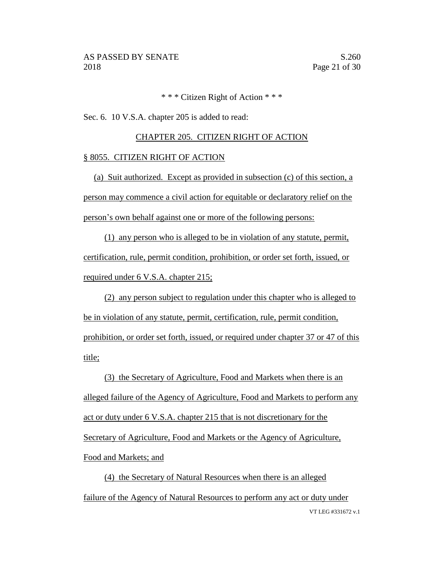## \* \* \* Citizen Right of Action \* \* \*

Sec. 6. 10 V.S.A. chapter 205 is added to read:

## CHAPTER 205. CITIZEN RIGHT OF ACTION

#### § 8055. CITIZEN RIGHT OF ACTION

(a) Suit authorized. Except as provided in subsection (c) of this section, a person may commence a civil action for equitable or declaratory relief on the person's own behalf against one or more of the following persons:

(1) any person who is alleged to be in violation of any statute, permit, certification, rule, permit condition, prohibition, or order set forth, issued, or required under 6 V.S.A. chapter 215;

(2) any person subject to regulation under this chapter who is alleged to be in violation of any statute, permit, certification, rule, permit condition, prohibition, or order set forth, issued, or required under chapter 37 or 47 of this title;

(3) the Secretary of Agriculture, Food and Markets when there is an alleged failure of the Agency of Agriculture, Food and Markets to perform any act or duty under 6 V.S.A. chapter 215 that is not discretionary for the Secretary of Agriculture, Food and Markets or the Agency of Agriculture, Food and Markets; and

VT LEG #331672 v.1 (4) the Secretary of Natural Resources when there is an alleged failure of the Agency of Natural Resources to perform any act or duty under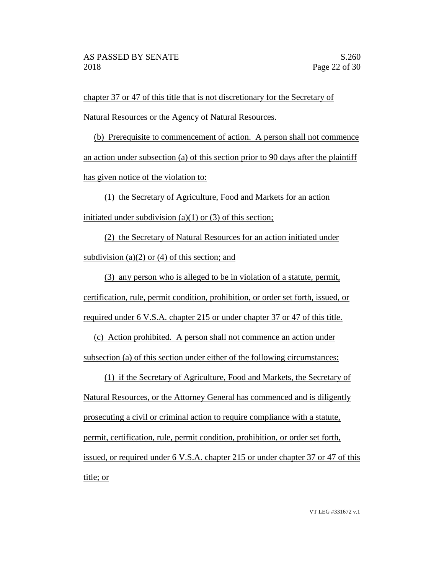chapter 37 or 47 of this title that is not discretionary for the Secretary of Natural Resources or the Agency of Natural Resources.

(b) Prerequisite to commencement of action. A person shall not commence an action under subsection (a) of this section prior to 90 days after the plaintiff has given notice of the violation to:

(1) the Secretary of Agriculture, Food and Markets for an action initiated under subdivision (a)(1) or (3) of this section;

(2) the Secretary of Natural Resources for an action initiated under subdivision (a) $(2)$  or (4) of this section; and

(3) any person who is alleged to be in violation of a statute, permit, certification, rule, permit condition, prohibition, or order set forth, issued, or required under 6 V.S.A. chapter 215 or under chapter 37 or 47 of this title.

(c) Action prohibited. A person shall not commence an action under subsection (a) of this section under either of the following circumstances:

(1) if the Secretary of Agriculture, Food and Markets, the Secretary of Natural Resources, or the Attorney General has commenced and is diligently prosecuting a civil or criminal action to require compliance with a statute, permit, certification, rule, permit condition, prohibition, or order set forth, issued, or required under 6 V.S.A. chapter 215 or under chapter 37 or 47 of this title; or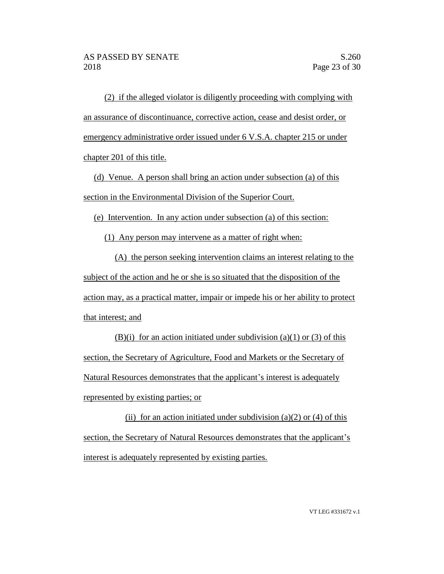(2) if the alleged violator is diligently proceeding with complying with an assurance of discontinuance, corrective action, cease and desist order, or emergency administrative order issued under 6 V.S.A. chapter 215 or under chapter 201 of this title.

(d) Venue. A person shall bring an action under subsection (a) of this section in the Environmental Division of the Superior Court.

(e) Intervention. In any action under subsection (a) of this section:

(1) Any person may intervene as a matter of right when:

(A) the person seeking intervention claims an interest relating to the subject of the action and he or she is so situated that the disposition of the action may, as a practical matter, impair or impede his or her ability to protect that interest; and

(B)(i) for an action initiated under subdivision (a)(1) or (3) of this section, the Secretary of Agriculture, Food and Markets or the Secretary of Natural Resources demonstrates that the applicant's interest is adequately represented by existing parties; or

(ii) for an action initiated under subdivision (a)(2) or (4) of this section, the Secretary of Natural Resources demonstrates that the applicant's interest is adequately represented by existing parties.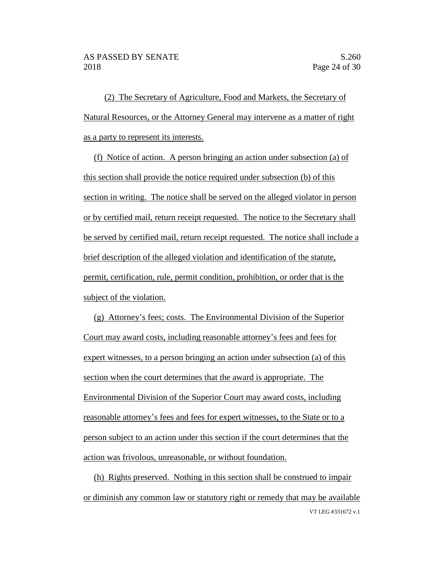(2) The Secretary of Agriculture, Food and Markets, the Secretary of Natural Resources, or the Attorney General may intervene as a matter of right as a party to represent its interests.

(f) Notice of action. A person bringing an action under subsection (a) of this section shall provide the notice required under subsection (b) of this section in writing. The notice shall be served on the alleged violator in person or by certified mail, return receipt requested. The notice to the Secretary shall be served by certified mail, return receipt requested. The notice shall include a brief description of the alleged violation and identification of the statute, permit, certification, rule, permit condition, prohibition, or order that is the subject of the violation.

(g) Attorney's fees; costs. The Environmental Division of the Superior Court may award costs, including reasonable attorney's fees and fees for expert witnesses, to a person bringing an action under subsection (a) of this section when the court determines that the award is appropriate. The Environmental Division of the Superior Court may award costs, including reasonable attorney's fees and fees for expert witnesses, to the State or to a person subject to an action under this section if the court determines that the action was frivolous, unreasonable, or without foundation.

VT LEG #331672 v.1 (h) Rights preserved. Nothing in this section shall be construed to impair or diminish any common law or statutory right or remedy that may be available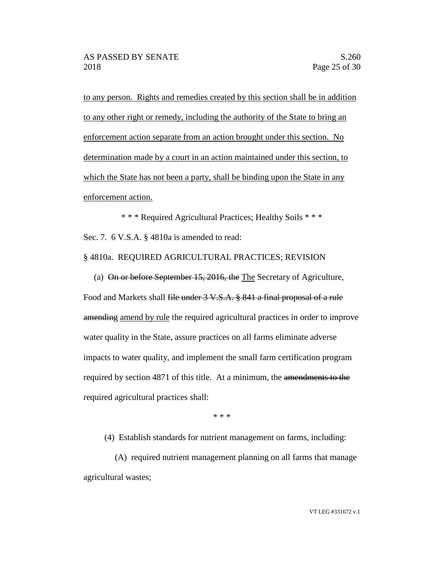to any person. Rights and remedies created by this section shall be in addition to any other right or remedy, including the authority of the State to bring an enforcement action separate from an action brought under this section. No determination made by a court in an action maintained under this section, to which the State has not been a party, shall be binding upon the State in any enforcement action.

\* \* \* Required Agricultural Practices; Healthy Soils \* \* \* Sec. 7. 6 V.S.A. § 4810a is amended to read:

§ 4810a. REQUIRED AGRICULTURAL PRACTICES; REVISION

(a) On or before September 15, 2016, the The Secretary of Agriculture, Food and Markets shall file under 3 V.S.A. § 841 a final proposal of a rule amending amend by rule the required agricultural practices in order to improve water quality in the State, assure practices on all farms eliminate adverse impacts to water quality, and implement the small farm certification program required by section 4871 of this title. At a minimum, the amendments to the required agricultural practices shall:

\* \* \*

(4) Establish standards for nutrient management on farms, including:

(A) required nutrient management planning on all farms that manage agricultural wastes;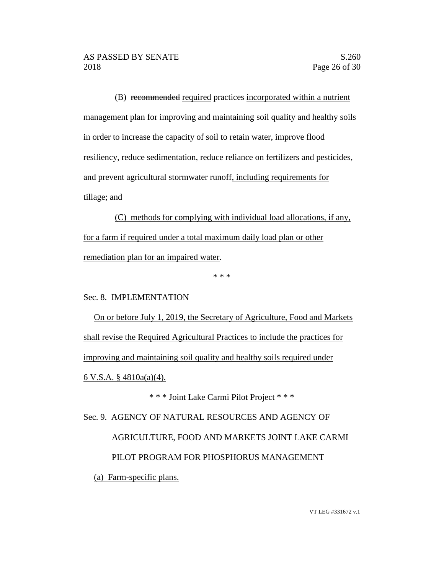(B) recommended required practices incorporated within a nutrient management plan for improving and maintaining soil quality and healthy soils in order to increase the capacity of soil to retain water, improve flood resiliency, reduce sedimentation, reduce reliance on fertilizers and pesticides, and prevent agricultural stormwater runoff, including requirements for tillage; and

(C) methods for complying with individual load allocations, if any, for a farm if required under a total maximum daily load plan or other remediation plan for an impaired water.

\* \* \*

Sec. 8. IMPLEMENTATION

On or before July 1, 2019, the Secretary of Agriculture, Food and Markets shall revise the Required Agricultural Practices to include the practices for improving and maintaining soil quality and healthy soils required under 6 V.S.A. § 4810a(a)(4).

\* \* \* Joint Lake Carmi Pilot Project \* \* \*

Sec. 9. AGENCY OF NATURAL RESOURCES AND AGENCY OF AGRICULTURE, FOOD AND MARKETS JOINT LAKE CARMI PILOT PROGRAM FOR PHOSPHORUS MANAGEMENT (a) Farm-specific plans.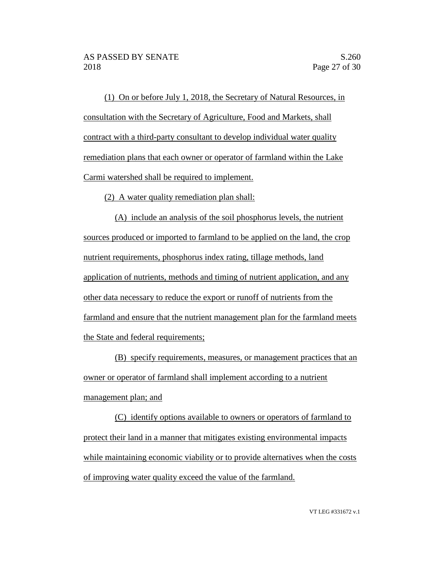(1) On or before July 1, 2018, the Secretary of Natural Resources, in consultation with the Secretary of Agriculture, Food and Markets, shall contract with a third-party consultant to develop individual water quality remediation plans that each owner or operator of farmland within the Lake Carmi watershed shall be required to implement.

(2) A water quality remediation plan shall:

(A) include an analysis of the soil phosphorus levels, the nutrient sources produced or imported to farmland to be applied on the land, the crop nutrient requirements, phosphorus index rating, tillage methods, land application of nutrients, methods and timing of nutrient application, and any other data necessary to reduce the export or runoff of nutrients from the farmland and ensure that the nutrient management plan for the farmland meets the State and federal requirements;

(B) specify requirements, measures, or management practices that an owner or operator of farmland shall implement according to a nutrient management plan; and

(C) identify options available to owners or operators of farmland to protect their land in a manner that mitigates existing environmental impacts while maintaining economic viability or to provide alternatives when the costs of improving water quality exceed the value of the farmland.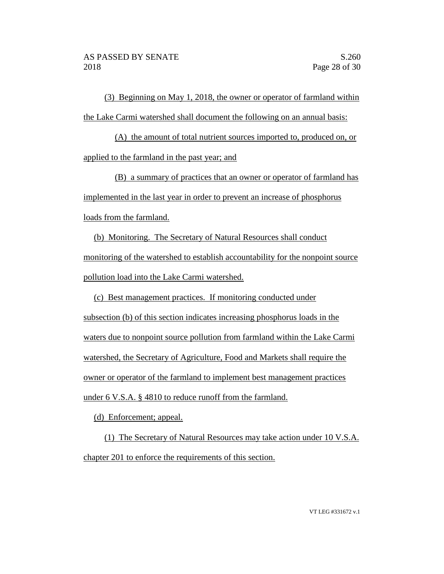(3) Beginning on May 1, 2018, the owner or operator of farmland within the Lake Carmi watershed shall document the following on an annual basis:

(A) the amount of total nutrient sources imported to, produced on, or applied to the farmland in the past year; and

(B) a summary of practices that an owner or operator of farmland has implemented in the last year in order to prevent an increase of phosphorus loads from the farmland.

(b) Monitoring. The Secretary of Natural Resources shall conduct monitoring of the watershed to establish accountability for the nonpoint source pollution load into the Lake Carmi watershed.

(c) Best management practices. If monitoring conducted under

subsection (b) of this section indicates increasing phosphorus loads in the waters due to nonpoint source pollution from farmland within the Lake Carmi watershed, the Secretary of Agriculture, Food and Markets shall require the owner or operator of the farmland to implement best management practices under 6 V.S.A. § 4810 to reduce runoff from the farmland.

(d) Enforcement; appeal.

(1) The Secretary of Natural Resources may take action under 10 V.S.A. chapter 201 to enforce the requirements of this section.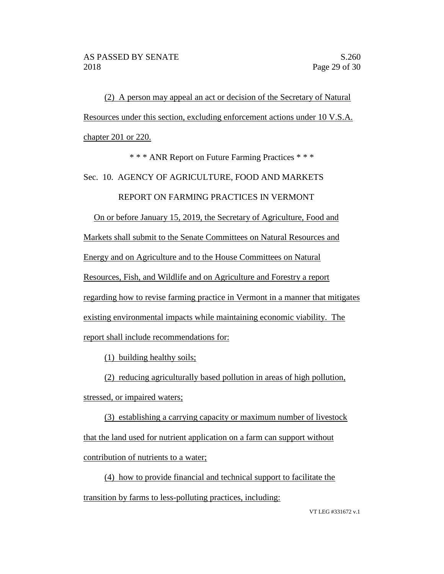(2) A person may appeal an act or decision of the Secretary of Natural Resources under this section, excluding enforcement actions under 10 V.S.A. chapter 201 or 220.

\* \* \* ANR Report on Future Farming Practices \* \* \*

Sec. 10. AGENCY OF AGRICULTURE, FOOD AND MARKETS

REPORT ON FARMING PRACTICES IN VERMONT

On or before January 15, 2019, the Secretary of Agriculture, Food and

Markets shall submit to the Senate Committees on Natural Resources and

Energy and on Agriculture and to the House Committees on Natural

Resources, Fish, and Wildlife and on Agriculture and Forestry a report

regarding how to revise farming practice in Vermont in a manner that mitigates

existing environmental impacts while maintaining economic viability. The

report shall include recommendations for:

(1) building healthy soils;

(2) reducing agriculturally based pollution in areas of high pollution,

stressed, or impaired waters;

(3) establishing a carrying capacity or maximum number of livestock that the land used for nutrient application on a farm can support without contribution of nutrients to a water;

(4) how to provide financial and technical support to facilitate the transition by farms to less-polluting practices, including: